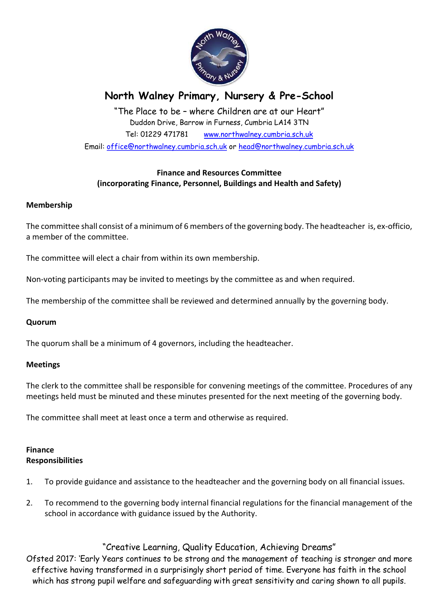

# North Walney Primary, Nursery & Pre-School

"The Place to be – where Children are at our Heart" Duddon Drive, Barrow in Furness, Cumbria LA14 3TN Tel: 01229 471781 www.northwalney.cumbria.sch.uk Email: office@northwalney.cumbria.sch.uk or head@northwalney.cumbria.sch.uk

# Finance and Resources Committee (incorporating Finance, Personnel, Buildings and Health and Safety)

## Membership

The committee shall consist of a minimum of 6 members of the governing body. The headteacher is, ex-officio, a member of the committee.

The committee will elect a chair from within its own membership.

Non-voting participants may be invited to meetings by the committee as and when required.

The membership of the committee shall be reviewed and determined annually by the governing body.

## Quorum

The quorum shall be a minimum of 4 governors, including the headteacher.

## Meetings

The clerk to the committee shall be responsible for convening meetings of the committee. Procedures of any meetings held must be minuted and these minutes presented for the next meeting of the governing body.

The committee shall meet at least once a term and otherwise as required.

## Finance Responsibilities

- 1. To provide guidance and assistance to the headteacher and the governing body on all financial issues.
- 2. To recommend to the governing body internal financial regulations for the financial management of the school in accordance with guidance issued by the Authority.

# "Creative Learning, Quality Education, Achieving Dreams"

Ofsted 2017: 'Early Years continues to be strong and the management of teaching is stronger and more effective having transformed in a surprisingly short period of time. Everyone has faith in the school which has strong pupil welfare and safeguarding with great sensitivity and caring shown to all pupils.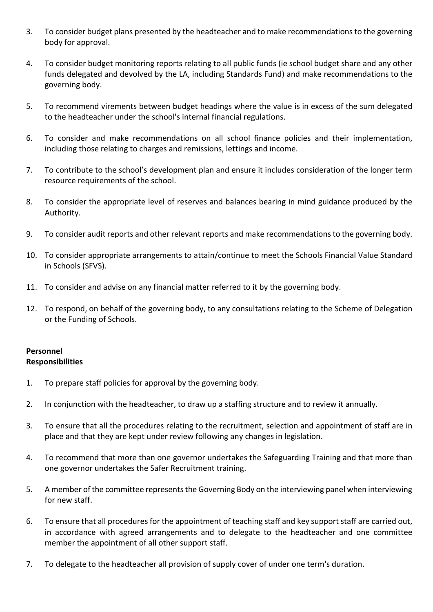- 3. To consider budget plans presented by the headteacher and to make recommendations to the governing body for approval.
- 4. To consider budget monitoring reports relating to all public funds (ie school budget share and any other funds delegated and devolved by the LA, including Standards Fund) and make recommendations to the governing body.
- 5. To recommend virements between budget headings where the value is in excess of the sum delegated to the headteacher under the school's internal financial regulations.
- 6. To consider and make recommendations on all school finance policies and their implementation, including those relating to charges and remissions, lettings and income.
- 7. To contribute to the school's development plan and ensure it includes consideration of the longer term resource requirements of the school.
- 8. To consider the appropriate level of reserves and balances bearing in mind guidance produced by the Authority.
- 9. To consider audit reports and other relevant reports and make recommendations to the governing body.
- 10. To consider appropriate arrangements to attain/continue to meet the Schools Financial Value Standard in Schools (SFVS).
- 11. To consider and advise on any financial matter referred to it by the governing body.
- 12. To respond, on behalf of the governing body, to any consultations relating to the Scheme of Delegation or the Funding of Schools.

## Personnel **Responsibilities**

- 1. To prepare staff policies for approval by the governing body.
- 2. In conjunction with the headteacher, to draw up a staffing structure and to review it annually.
- 3. To ensure that all the procedures relating to the recruitment, selection and appointment of staff are in place and that they are kept under review following any changes in legislation.
- 4. To recommend that more than one governor undertakes the Safeguarding Training and that more than one governor undertakes the Safer Recruitment training.
- 5. A member of the committee represents the Governing Body on the interviewing panel when interviewing for new staff.
- 6. To ensure that all procedures for the appointment of teaching staff and key support staff are carried out, in accordance with agreed arrangements and to delegate to the headteacher and one committee member the appointment of all other support staff.
- 7. To delegate to the headteacher all provision of supply cover of under one term's duration.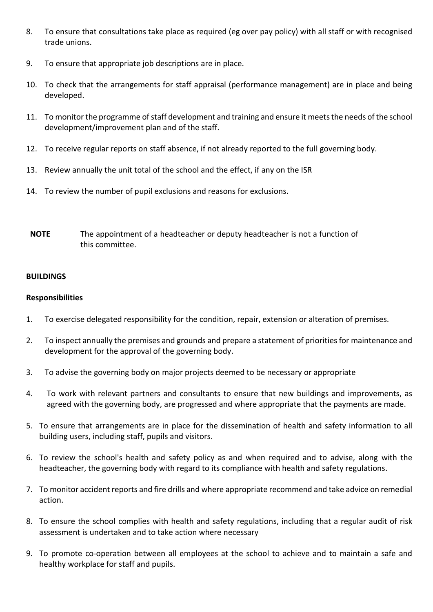- 8. To ensure that consultations take place as required (eg over pay policy) with all staff or with recognised trade unions.
- 9. To ensure that appropriate job descriptions are in place.
- 10. To check that the arrangements for staff appraisal (performance management) are in place and being developed.
- 11. To monitor the programme of staff development and training and ensure it meets the needs of the school development/improvement plan and of the staff.
- 12. To receive regular reports on staff absence, if not already reported to the full governing body.
- 13. Review annually the unit total of the school and the effect, if any on the ISR
- 14. To review the number of pupil exclusions and reasons for exclusions.
- NOTE The appointment of a headteacher or deputy headteacher is not a function of this committee.

## BUILDINGS

## Responsibilities

- 1. To exercise delegated responsibility for the condition, repair, extension or alteration of premises.
- 2. To inspect annually the premises and grounds and prepare a statement of priorities for maintenance and development for the approval of the governing body.
- 3. To advise the governing body on major projects deemed to be necessary or appropriate
- 4. To work with relevant partners and consultants to ensure that new buildings and improvements, as agreed with the governing body, are progressed and where appropriate that the payments are made.
- 5. To ensure that arrangements are in place for the dissemination of health and safety information to all building users, including staff, pupils and visitors.
- 6. To review the school's health and safety policy as and when required and to advise, along with the headteacher, the governing body with regard to its compliance with health and safety regulations.
- 7. To monitor accident reports and fire drills and where appropriate recommend and take advice on remedial action.
- 8. To ensure the school complies with health and safety regulations, including that a regular audit of risk assessment is undertaken and to take action where necessary
- 9. To promote co-operation between all employees at the school to achieve and to maintain a safe and healthy workplace for staff and pupils.